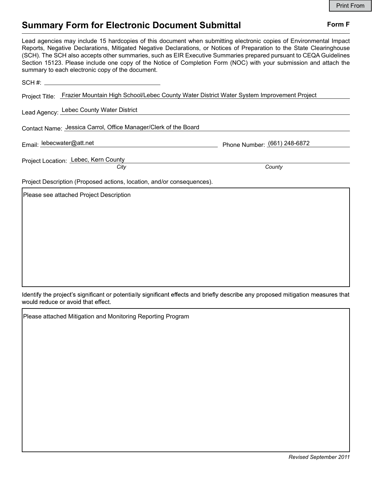## Summary Form for Electronic Document Submittal Form F

|                                                                                                                                                                                                                                                                                                                                                                                                                                                                                                                                                                                                                                                                                                              |        | <b>Print From</b> |
|--------------------------------------------------------------------------------------------------------------------------------------------------------------------------------------------------------------------------------------------------------------------------------------------------------------------------------------------------------------------------------------------------------------------------------------------------------------------------------------------------------------------------------------------------------------------------------------------------------------------------------------------------------------------------------------------------------------|--------|-------------------|
| <b>Summary Form for Electronic Document Submittal</b><br>Lead agencies may include 15 hardcopies of this document when submitting electronic copies of Environmental Impact<br>Reports, Negative Declarations, Mitigated Negative Declarations, or Notices of Preparation to the State Clearinghouse<br>(SCH). The SCH also accepts other summaries, such as EIR Executive Summaries prepared pursuant to CEQA Guidelines<br>Section 15123. Please include one copy of the Notice of Completion Form (NOC) with your submission and attach the<br>Project Title: Frazier Mountain High School/Lebec County Water District Water System Improvement Project<br>Phone Number: (661) 248-6872<br>County<br>City | Form F |                   |
| summary to each electronic copy of the document.                                                                                                                                                                                                                                                                                                                                                                                                                                                                                                                                                                                                                                                             |        |                   |
|                                                                                                                                                                                                                                                                                                                                                                                                                                                                                                                                                                                                                                                                                                              |        |                   |
|                                                                                                                                                                                                                                                                                                                                                                                                                                                                                                                                                                                                                                                                                                              |        |                   |
| Lead Agency: Lebec County Water District                                                                                                                                                                                                                                                                                                                                                                                                                                                                                                                                                                                                                                                                     |        |                   |
| Contact Name: Jessica Carrol, Office Manager/Clerk of the Board                                                                                                                                                                                                                                                                                                                                                                                                                                                                                                                                                                                                                                              |        |                   |
| Email: lebecwater@att.net                                                                                                                                                                                                                                                                                                                                                                                                                                                                                                                                                                                                                                                                                    |        |                   |
| Project Location: Lebec, Kern County                                                                                                                                                                                                                                                                                                                                                                                                                                                                                                                                                                                                                                                                         |        |                   |
| Project Description (Proposed actions, location, and/or consequences).                                                                                                                                                                                                                                                                                                                                                                                                                                                                                                                                                                                                                                       |        |                   |
| Please see attached Project Description                                                                                                                                                                                                                                                                                                                                                                                                                                                                                                                                                                                                                                                                      |        |                   |
|                                                                                                                                                                                                                                                                                                                                                                                                                                                                                                                                                                                                                                                                                                              |        |                   |
|                                                                                                                                                                                                                                                                                                                                                                                                                                                                                                                                                                                                                                                                                                              |        |                   |
|                                                                                                                                                                                                                                                                                                                                                                                                                                                                                                                                                                                                                                                                                                              |        |                   |

Identify the project's significant or potentially significant effects and briefly describe any proposed mitigation measures that would reduce or avoid that effect.

Please attached Mitigation and Monitoring Reporting Program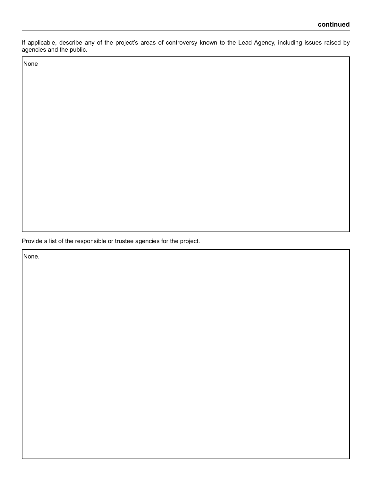If applicable, describe any of the project's areas of controversy known to the Lead Agency, including issues raised by agencies and the public.

None

Provide a list of the responsible or trustee agencies for the project.

None.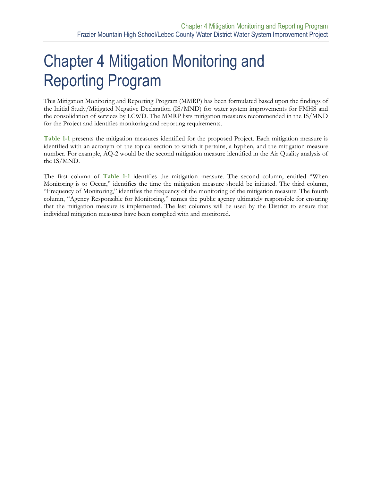# **Chapter 4 Mitigation Monitoring and** Reporting Program

This Mitigation Monitoring and Reporting Program (MMRP) has been formulated based upon the findings of the Initial Study/Mitigated Negative Declaration (IS/MND) for water system improvements for FMHS and the consolidation of services by LCWD. The MMRP lists mitigation measures recommended in the IS/MND for the Project and identifies monitoring and reporting requirements.

**[Table 1-1](#page-3-0)** presents the mitigation measures identified for the proposed Project. Each mitigation measure is identified with an acronym of the topical section to which it pertains, a hyphen, and the mitigation measure number. For example, AQ-2 would be the second mitigation measure identified in the Air Quality analysis of the IS/MND.

The first column of **[Table 1-1](#page-3-0)** identifies the mitigation measure. The second column, entitled "When Monitoring is to Occur," identifies the time the mitigation measure should be initiated. The third column, "Frequency of Monitoring," identifies the frequency of the monitoring of the mitigation measure. The fourth column, "Agency Responsible for Monitoring," names the public agency ultimately responsible for ensuring that the mitigation measure is implemented. The last columns will be used by the District to ensure that individual mitigation measures have been complied with and monitored.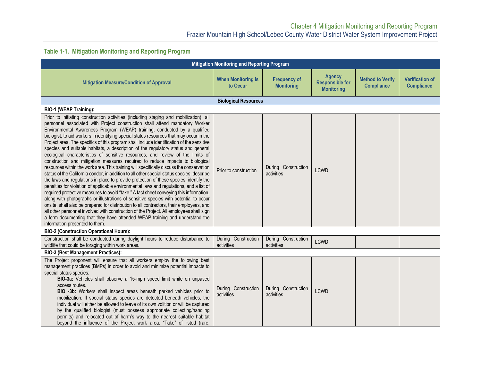#### **Table 1-1. Mitigation Monitoring and Reporting Program**

<span id="page-3-0"></span>

| <b>Mitigation Monitoring and Reporting Program</b>                                                                                                                                                                                                                                                                                                                                                                                                                                                                                                                                                                                                                                                                                                                                                                                                                                                                                                                                                                                                                                                                                                                                                                                                                                                                                                                                                                                                                                                                                                                          |                                       |                                          |                                                              |                                              |                                             |  |
|-----------------------------------------------------------------------------------------------------------------------------------------------------------------------------------------------------------------------------------------------------------------------------------------------------------------------------------------------------------------------------------------------------------------------------------------------------------------------------------------------------------------------------------------------------------------------------------------------------------------------------------------------------------------------------------------------------------------------------------------------------------------------------------------------------------------------------------------------------------------------------------------------------------------------------------------------------------------------------------------------------------------------------------------------------------------------------------------------------------------------------------------------------------------------------------------------------------------------------------------------------------------------------------------------------------------------------------------------------------------------------------------------------------------------------------------------------------------------------------------------------------------------------------------------------------------------------|---------------------------------------|------------------------------------------|--------------------------------------------------------------|----------------------------------------------|---------------------------------------------|--|
| <b>Mitigation Measure/Condition of Approval</b>                                                                                                                                                                                                                                                                                                                                                                                                                                                                                                                                                                                                                                                                                                                                                                                                                                                                                                                                                                                                                                                                                                                                                                                                                                                                                                                                                                                                                                                                                                                             | <b>When Monitoring is</b><br>to Occur | <b>Frequency of</b><br><b>Monitoring</b> | <b>Agency</b><br><b>Responsible for</b><br><b>Monitoring</b> | <b>Method to Verify</b><br><b>Compliance</b> | <b>Verification of</b><br><b>Compliance</b> |  |
|                                                                                                                                                                                                                                                                                                                                                                                                                                                                                                                                                                                                                                                                                                                                                                                                                                                                                                                                                                                                                                                                                                                                                                                                                                                                                                                                                                                                                                                                                                                                                                             | <b>Biological Resources</b>           |                                          |                                                              |                                              |                                             |  |
| <b>BIO-1 (WEAP Training):</b>                                                                                                                                                                                                                                                                                                                                                                                                                                                                                                                                                                                                                                                                                                                                                                                                                                                                                                                                                                                                                                                                                                                                                                                                                                                                                                                                                                                                                                                                                                                                               |                                       |                                          |                                                              |                                              |                                             |  |
| Prior to initiating construction activities (including staging and mobilization), all<br>personnel associated with Project construction shall attend mandatory Worker<br>Environmental Awareness Program (WEAP) training, conducted by a qualified<br>biologist, to aid workers in identifying special status resources that may occur in the<br>Project area. The specifics of this program shall include identification of the sensitive<br>species and suitable habitats, a description of the regulatory status and general<br>ecological characteristics of sensitive resources, and review of the limits of<br>construction and mitigation measures required to reduce impacts to biological<br>resources within the work area. This training will specifically discuss the conservation<br>status of the California condor, in addition to all other special status species, describe<br>the laws and regulations in place to provide protection of these species, identify the<br>penalties for violation of applicable environmental laws and regulations, and a list of<br>required protective measures to avoid "take." A fact sheet conveying this information,<br>along with photographs or illustrations of sensitive species with potential to occur<br>onsite, shall also be prepared for distribution to all contractors, their employees, and<br>all other personnel involved with construction of the Project. All employees shall sign<br>a form documenting that they have attended WEAP training and understand the<br>information presented to them. | Prior to construction                 | During Construction<br>activities        | LCWD                                                         |                                              |                                             |  |
| <b>BIO-2 (Construction Operational Hours):</b>                                                                                                                                                                                                                                                                                                                                                                                                                                                                                                                                                                                                                                                                                                                                                                                                                                                                                                                                                                                                                                                                                                                                                                                                                                                                                                                                                                                                                                                                                                                              |                                       |                                          |                                                              |                                              |                                             |  |
| Construction shall be conducted during daylight hours to reduce disturbance to<br>wildlife that could be foraging within work areas.                                                                                                                                                                                                                                                                                                                                                                                                                                                                                                                                                                                                                                                                                                                                                                                                                                                                                                                                                                                                                                                                                                                                                                                                                                                                                                                                                                                                                                        | During Construction<br>activities     | During Construction<br>activities        | <b>LCWD</b>                                                  |                                              |                                             |  |
| <b>BIO-3 (Best Management Practices):</b>                                                                                                                                                                                                                                                                                                                                                                                                                                                                                                                                                                                                                                                                                                                                                                                                                                                                                                                                                                                                                                                                                                                                                                                                                                                                                                                                                                                                                                                                                                                                   |                                       |                                          |                                                              |                                              |                                             |  |
| The Project proponent will ensure that all workers employ the following best<br>management practices (BMPs) in order to avoid and minimize potential impacts to<br>special status species:<br>BIO-3a: Vehicles shall observe a 15-mph speed limit while on unpaved<br>access routes.<br>BIO -3b: Workers shall inspect areas beneath parked vehicles prior to<br>mobilization. If special status species are detected beneath vehicles, the<br>individual will either be allowed to leave of its own volition or will be captured<br>by the qualified biologist (must possess appropriate collecting/handling<br>permits) and relocated out of harm's way to the nearest suitable habitat<br>beyond the influence of the Project work area. "Take" of listed (rare,                                                                                                                                                                                                                                                                                                                                                                                                                                                                                                                                                                                                                                                                                                                                                                                                         | During Construction<br>activities     | During Construction<br>activities        | LCWD                                                         |                                              |                                             |  |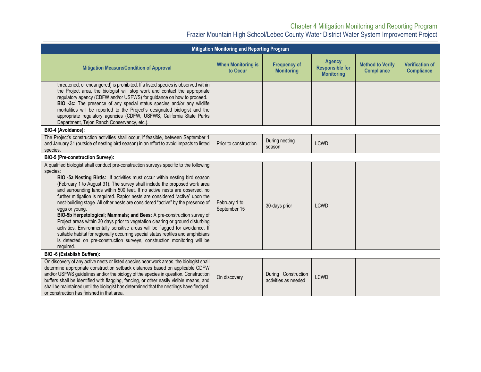#### Chapter 4 Mitigation Monitoring and Reporting Program Frazier Mountain High School/Lebec County Water District Water System Improvement Project

| <b>Mitigation Monitoring and Reporting Program</b>                                                                                                                                                                                                                                                                                                                                                                                                                                                                                                                                                                                                                                                                                                                                                                                                                                                                                                           |                                       |                                             |                                                              |                                              |                                             |  |
|--------------------------------------------------------------------------------------------------------------------------------------------------------------------------------------------------------------------------------------------------------------------------------------------------------------------------------------------------------------------------------------------------------------------------------------------------------------------------------------------------------------------------------------------------------------------------------------------------------------------------------------------------------------------------------------------------------------------------------------------------------------------------------------------------------------------------------------------------------------------------------------------------------------------------------------------------------------|---------------------------------------|---------------------------------------------|--------------------------------------------------------------|----------------------------------------------|---------------------------------------------|--|
| <b>Mitigation Measure/Condition of Approval</b>                                                                                                                                                                                                                                                                                                                                                                                                                                                                                                                                                                                                                                                                                                                                                                                                                                                                                                              | <b>When Monitoring is</b><br>to Occur | <b>Frequency of</b><br><b>Monitoring</b>    | <b>Agency</b><br><b>Responsible for</b><br><b>Monitoring</b> | <b>Method to Verify</b><br><b>Compliance</b> | <b>Verification of</b><br><b>Compliance</b> |  |
| threatened, or endangered) is prohibited. If a listed species is observed within<br>the Project area, the biologist will stop work and contact the appropriate<br>regulatory agency (CDFW and/or USFWS) for guidance on how to proceed.<br>BIO -3c: The presence of any special status species and/or any wildlife<br>mortalities will be reported to the Project's designated biologist and the<br>appropriate regulatory agencies (CDFW, USFWS, California State Parks<br>Department, Tejon Ranch Conservancy, etc.).                                                                                                                                                                                                                                                                                                                                                                                                                                      |                                       |                                             |                                                              |                                              |                                             |  |
| BIO-4 (Avoidance):                                                                                                                                                                                                                                                                                                                                                                                                                                                                                                                                                                                                                                                                                                                                                                                                                                                                                                                                           |                                       |                                             |                                                              |                                              |                                             |  |
| The Project's construction activities shall occur, if feasible, between September 1<br>and January 31 (outside of nesting bird season) in an effort to avoid impacts to listed<br>species.                                                                                                                                                                                                                                                                                                                                                                                                                                                                                                                                                                                                                                                                                                                                                                   | Prior to construction                 | During nesting<br>season                    | <b>LCWD</b>                                                  |                                              |                                             |  |
| BIO-5 (Pre-construction Survey):                                                                                                                                                                                                                                                                                                                                                                                                                                                                                                                                                                                                                                                                                                                                                                                                                                                                                                                             |                                       |                                             |                                                              |                                              |                                             |  |
| A qualified biologist shall conduct pre-construction surveys specific to the following<br>species:<br>BIO -5a Nesting Birds: If activities must occur within nesting bird season<br>(February 1 to August 31), The survey shall include the proposed work area<br>and surrounding lands within 500 feet. If no active nests are observed, no<br>further mitigation is required. Raptor nests are considered "active" upon the<br>nest-building stage. All other nests are considered "active" by the presence of<br>eggs or young.<br>BIO-5b Herpetological; Mammals; and Bees: A pre-construction survey of<br>Project areas within 30 days prior to vegetation clearing or ground disturbing<br>activities. Environmentally sensitive areas will be flagged for avoidance. If<br>suitable habitat for regionally occurring special status reptiles and amphibians<br>is detected on pre-construction surveys, construction monitoring will be<br>required. | February 1 to<br>September 15         | 30-days prior                               | <b>LCWD</b>                                                  |                                              |                                             |  |
| BIO -6 (Establish Buffers):                                                                                                                                                                                                                                                                                                                                                                                                                                                                                                                                                                                                                                                                                                                                                                                                                                                                                                                                  |                                       |                                             |                                                              |                                              |                                             |  |
| On discovery of any active nests or listed species near work areas, the biologist shall<br>determine appropriate construction setback distances based on applicable CDFW<br>and/or USFWS guidelines and/or the biology of the species in question. Construction<br>buffers shall be identified with flagging, fencing, or other easily visible means, and<br>shall be maintained until the biologist has determined that the nestlings have fledged,<br>or construction has finished in that area.                                                                                                                                                                                                                                                                                                                                                                                                                                                           | On discovery                          | During Construction<br>activities as needed | <b>LCWD</b>                                                  |                                              |                                             |  |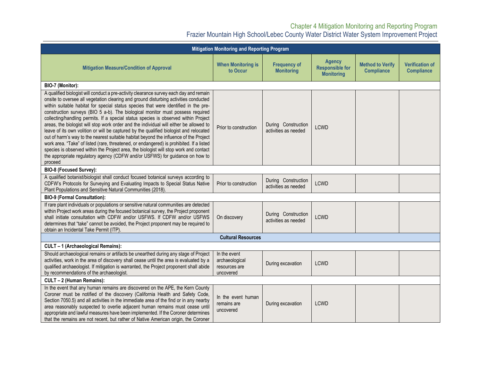#### Chapter 4 Mitigation Monitoring and Reporting Program Frazier Mountain High School/Lebec County Water District Water System Improvement Project

| Mitigation Monitoring and Reporting Program                                                                                                                                                                                                                                                                                                                                                                                                                                                                                                                                                                                                                                                                                                                                                                                                                                                                                                                                                                 |                                                              |                                             |                                                              |                                              |                                             |  |
|-------------------------------------------------------------------------------------------------------------------------------------------------------------------------------------------------------------------------------------------------------------------------------------------------------------------------------------------------------------------------------------------------------------------------------------------------------------------------------------------------------------------------------------------------------------------------------------------------------------------------------------------------------------------------------------------------------------------------------------------------------------------------------------------------------------------------------------------------------------------------------------------------------------------------------------------------------------------------------------------------------------|--------------------------------------------------------------|---------------------------------------------|--------------------------------------------------------------|----------------------------------------------|---------------------------------------------|--|
| <b>Mitigation Measure/Condition of Approval</b>                                                                                                                                                                                                                                                                                                                                                                                                                                                                                                                                                                                                                                                                                                                                                                                                                                                                                                                                                             | <b>When Monitoring is</b><br>to Occur                        | <b>Frequency of</b><br><b>Monitoring</b>    | <b>Agency</b><br><b>Responsible for</b><br><b>Monitoring</b> | <b>Method to Verify</b><br><b>Compliance</b> | <b>Verification of</b><br><b>Compliance</b> |  |
| BIO-7 (Monitor):                                                                                                                                                                                                                                                                                                                                                                                                                                                                                                                                                                                                                                                                                                                                                                                                                                                                                                                                                                                            |                                                              |                                             |                                                              |                                              |                                             |  |
| A qualified biologist will conduct a pre-activity clearance survey each day and remain<br>onsite to oversee all vegetation clearing and ground disturbing activities conducted<br>within suitable habitat for special status species that were identified in the pre-<br>construction surveys (BIO 5 a-b). The biological monitor must possess required<br>collecting/handling permits. If a special status species is observed within Project<br>areas, the biologist will stop work order and the individual will either be allowed to<br>leave of its own volition or will be captured by the qualified biologist and relocated<br>out of harm's way to the nearest suitable habitat beyond the influence of the Project<br>work area. "Take" of listed (rare, threatened, or endangered) is prohibited. If a listed<br>species is observed within the Project area, the biologist will stop work and contact<br>the appropriate regulatory agency (CDFW and/or USFWS) for guidance on how to<br>proceed | Prior to construction                                        | During Construction<br>activities as needed | <b>LCWD</b>                                                  |                                              |                                             |  |
| <b>BIO-8 (Focused Survey):</b>                                                                                                                                                                                                                                                                                                                                                                                                                                                                                                                                                                                                                                                                                                                                                                                                                                                                                                                                                                              |                                                              |                                             |                                                              |                                              |                                             |  |
| A qualified botanist/biologist shall conduct focused botanical surveys according to<br>CDFW's Protocols for Surveying and Evaluating Impacts to Special Status Native<br>Plant Populations and Sensitive Natural Communities (2018).                                                                                                                                                                                                                                                                                                                                                                                                                                                                                                                                                                                                                                                                                                                                                                        | Prior to construction                                        | During Construction<br>activities as needed | <b>LCWD</b>                                                  |                                              |                                             |  |
| <b>BIO-9 (Formal Consultation):</b>                                                                                                                                                                                                                                                                                                                                                                                                                                                                                                                                                                                                                                                                                                                                                                                                                                                                                                                                                                         |                                                              |                                             |                                                              |                                              |                                             |  |
| If rare plant individuals or populations or sensitive natural communities are detected<br>within Project work areas during the focused botanical survey, the Project proponent<br>shall initiate consultation with CDFW and/or USFWS. If CDFW and/or USFWS<br>determines that "take" cannot be avoided, the Project proponent may be required to<br>obtain an Incidental Take Permit (ITP).                                                                                                                                                                                                                                                                                                                                                                                                                                                                                                                                                                                                                 | On discovery                                                 | During Construction<br>activities as needed | <b>LCWD</b>                                                  |                                              |                                             |  |
| <b>Cultural Resources</b>                                                                                                                                                                                                                                                                                                                                                                                                                                                                                                                                                                                                                                                                                                                                                                                                                                                                                                                                                                                   |                                                              |                                             |                                                              |                                              |                                             |  |
| CULT - 1 (Archaeological Remains):                                                                                                                                                                                                                                                                                                                                                                                                                                                                                                                                                                                                                                                                                                                                                                                                                                                                                                                                                                          |                                                              |                                             |                                                              |                                              |                                             |  |
| Should archaeological remains or artifacts be unearthed during any stage of Project<br>activities, work in the area of discovery shall cease until the area is evaluated by a<br>qualified archaeologist. If mitigation is warranted, the Project proponent shall abide<br>by recommendations of the archaeologist.                                                                                                                                                                                                                                                                                                                                                                                                                                                                                                                                                                                                                                                                                         | In the event<br>archaeological<br>resources are<br>uncovered | During excavation                           | <b>LCWD</b>                                                  |                                              |                                             |  |
| CULT - 2 (Human Remains):                                                                                                                                                                                                                                                                                                                                                                                                                                                                                                                                                                                                                                                                                                                                                                                                                                                                                                                                                                                   |                                                              |                                             |                                                              |                                              |                                             |  |
| In the event that any human remains are discovered on the APE, the Kern County<br>Coroner must be notified of the discovery (California Health and Safety Code,<br>Section 7050.5) and all activities in the immediate area of the find or in any nearby<br>area reasonably suspected to overlie adjacent human remains must cease until<br>appropriate and lawful measures have been implemented. If the Coroner determines<br>that the remains are not recent, but rather of Native American origin, the Coroner                                                                                                                                                                                                                                                                                                                                                                                                                                                                                          | In the event human<br>remains are<br>uncovered               | During excavation                           | <b>LCWD</b>                                                  |                                              |                                             |  |